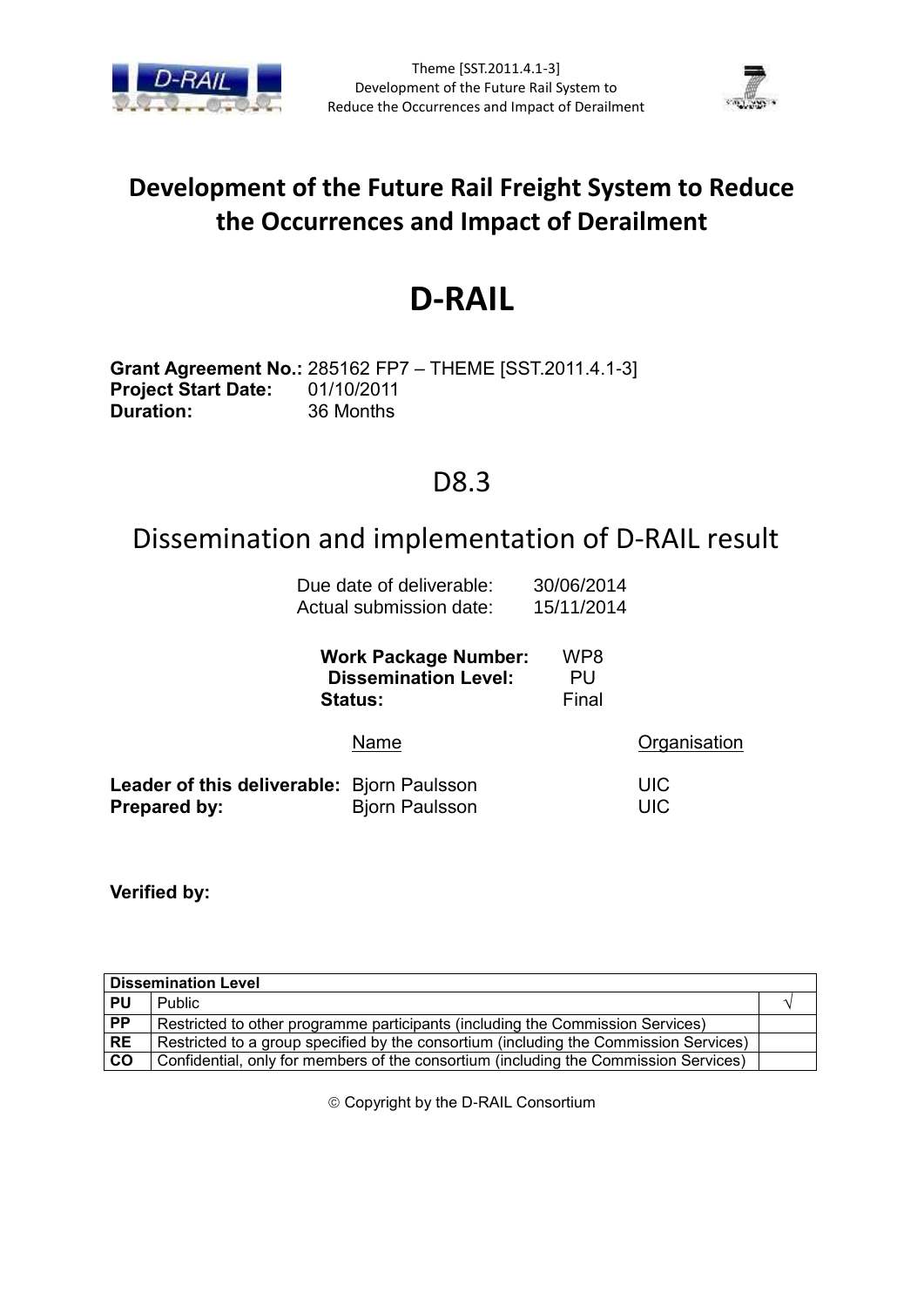



## **Development of the Future Rail Freight System to Reduce the Occurrences and Impact of Derailment**

# **D-RAIL**

**Grant Agreement No.:** 285162 FP7 – THEME [SST.2011.4.1-3] **Project Start Date:** 01/10/2011 **Duration:** 36 Months

### D8.3

## Dissemination and implementation of D-RAIL result

| Due date of deliverable: | 30/06/2014 |
|--------------------------|------------|
| Actual submission date:  | 15/11/2014 |

|                                                            | <b>Work Package Number:</b><br><b>Dissemination Level:</b><br><b>Status:</b> | WP8<br>PU<br>Final |                          |
|------------------------------------------------------------|------------------------------------------------------------------------------|--------------------|--------------------------|
|                                                            | Name                                                                         |                    | Organisation             |
| Leader of this deliverable: Bjorn Paulsson<br>Prepared by: | <b>Bjorn Paulsson</b>                                                        |                    | <b>UIC</b><br><b>UIC</b> |

**Verified by:**

| <b>Dissemination Level</b> |                                                                                       |  |  |
|----------------------------|---------------------------------------------------------------------------------------|--|--|
| PU                         | <b>Public</b>                                                                         |  |  |
| PP                         | Restricted to other programme participants (including the Commission Services)        |  |  |
| <b>RE</b>                  | Restricted to a group specified by the consortium (including the Commission Services) |  |  |
| <b>CO</b>                  | Confidential, only for members of the consortium (including the Commission Services)  |  |  |

Copyright by the D-RAIL Consortium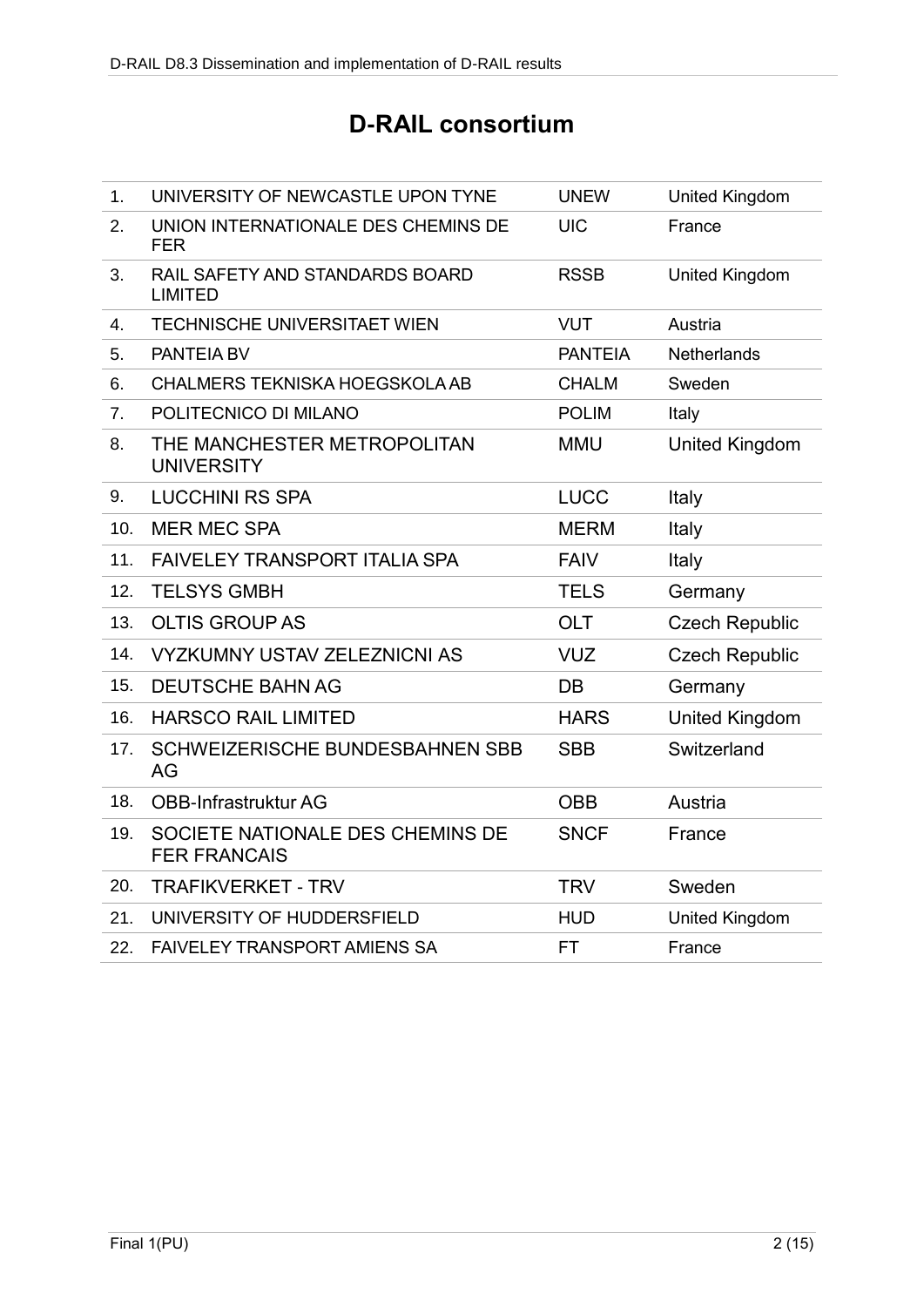## **D-RAIL consortium**

| 1.             | UNIVERSITY OF NEWCASTLE UPON TYNE                       | <b>UNEW</b>    | <b>United Kingdom</b> |
|----------------|---------------------------------------------------------|----------------|-----------------------|
| 2.             | UNION INTERNATIONALE DES CHEMINS DE<br><b>FER</b>       | <b>UIC</b>     | France                |
| 3.             | RAIL SAFETY AND STANDARDS BOARD<br><b>LIMITED</b>       | <b>RSSB</b>    | <b>United Kingdom</b> |
| 4.             | <b>TECHNISCHE UNIVERSITAET WIEN</b>                     | <b>VUT</b>     | Austria               |
| 5.             | <b>PANTEIA BV</b>                                       | <b>PANTEIA</b> | <b>Netherlands</b>    |
| 6.             | <b>CHALMERS TEKNISKA HOEGSKOLA AB</b>                   | <b>CHALM</b>   | Sweden                |
| 7 <sub>1</sub> | POLITECNICO DI MILANO                                   | <b>POLIM</b>   | Italy                 |
| 8.             | THE MANCHESTER METROPOLITAN<br><b>UNIVERSITY</b>        | <b>MMU</b>     | <b>United Kingdom</b> |
| 9.             | <b>LUCCHINI RS SPA</b>                                  | <b>LUCC</b>    | Italy                 |
| 10.            | <b>MER MEC SPA</b>                                      | <b>MERM</b>    | Italy                 |
| 11.            | <b>FAIVELEY TRANSPORT ITALIA SPA</b>                    | <b>FAIV</b>    | Italy                 |
| 12.            | <b>TELSYS GMBH</b>                                      | <b>TELS</b>    | Germany               |
| 13.            | <b>OLTIS GROUP AS</b>                                   | <b>OLT</b>     | <b>Czech Republic</b> |
| 14.            | <b>VYZKUMNY USTAV ZELEZNICNI AS</b>                     | <b>VUZ</b>     | <b>Czech Republic</b> |
| 15.            | <b>DEUTSCHE BAHN AG</b>                                 | DB             | Germany               |
| 16.            | <b>HARSCO RAIL LIMITED</b>                              | <b>HARS</b>    | <b>United Kingdom</b> |
| 17.            | SCHWEIZERISCHE BUNDESBAHNEN SBB<br>AG                   | <b>SBB</b>     | Switzerland           |
| 18.            | OBB-Infrastruktur AG                                    | <b>OBB</b>     | Austria               |
| 19.            | SOCIETE NATIONALE DES CHEMINS DE<br><b>FER FRANCAIS</b> | <b>SNCF</b>    | France                |
| 20.            | <b>TRAFIKVERKET - TRV</b>                               | <b>TRV</b>     | Sweden                |
| 21.            | UNIVERSITY OF HUDDERSFIELD                              | <b>HUD</b>     | United Kingdom        |
| 22.            | <b>FAIVELEY TRANSPORT AMIENS SA</b>                     | FT             | France                |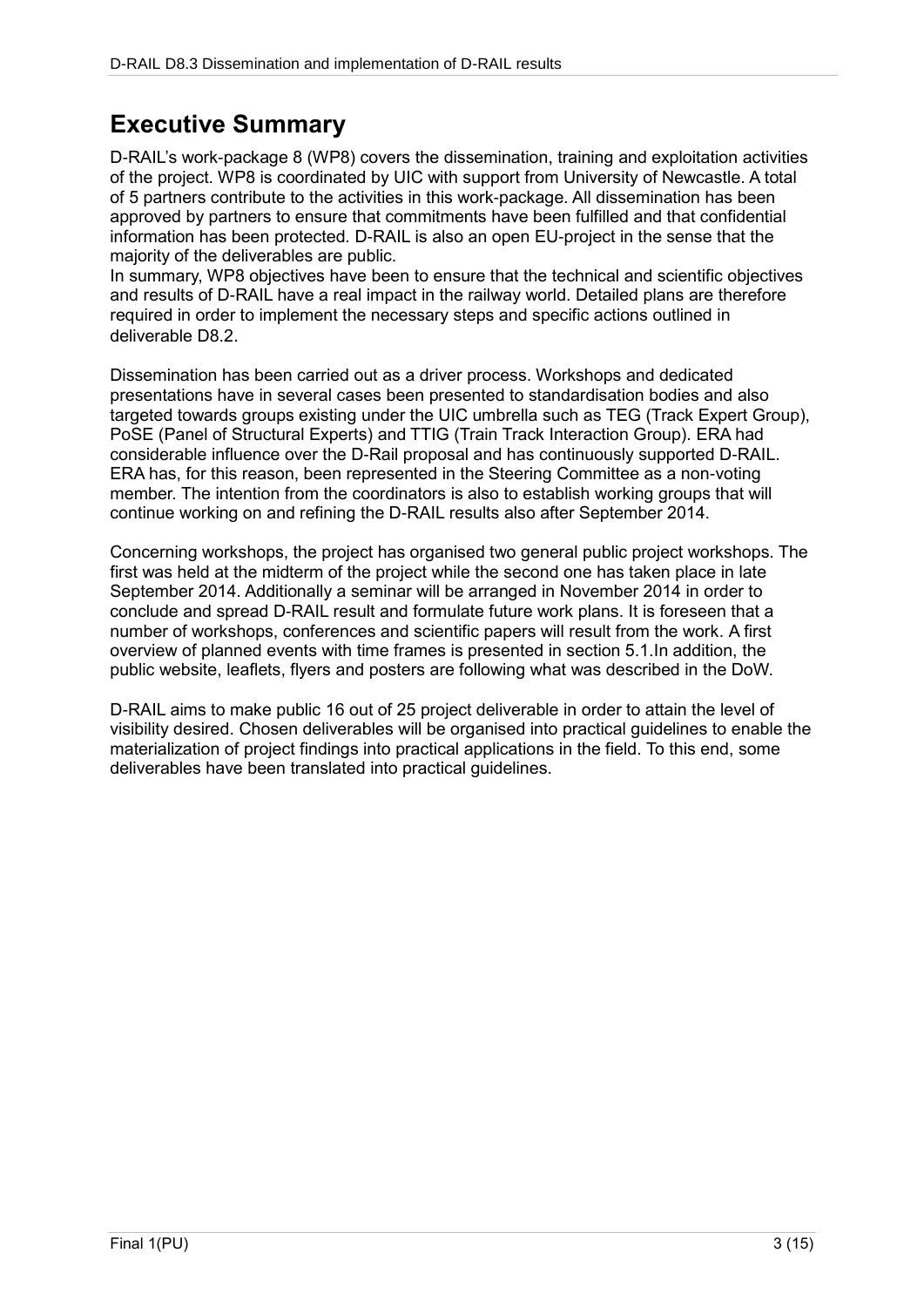## **Executive Summary**

D-RAIL's work-package 8 (WP8) covers the dissemination, training and exploitation activities of the project. WP8 is coordinated by UIC with support from University of Newcastle. A total of 5 partners contribute to the activities in this work-package. All dissemination has been approved by partners to ensure that commitments have been fulfilled and that confidential information has been protected. D-RAIL is also an open EU-project in the sense that the majority of the deliverables are public.

In summary, WP8 objectives have been to ensure that the technical and scientific objectives and results of D-RAIL have a real impact in the railway world. Detailed plans are therefore required in order to implement the necessary steps and specific actions outlined in deliverable D8.2.

Dissemination has been carried out as a driver process. Workshops and dedicated presentations have in several cases been presented to standardisation bodies and also targeted towards groups existing under the UIC umbrella such as TEG (Track Expert Group), PoSE (Panel of Structural Experts) and TTIG (Train Track Interaction Group). ERA had considerable influence over the D-Rail proposal and has continuously supported D-RAIL. ERA has, for this reason, been represented in the Steering Committee as a non-voting member. The intention from the coordinators is also to establish working groups that will continue working on and refining the D-RAIL results also after September 2014.

Concerning workshops, the project has organised two general public project workshops. The first was held at the midterm of the project while the second one has taken place in late September 2014. Additionally a seminar will be arranged in November 2014 in order to conclude and spread D-RAIL result and formulate future work plans. It is foreseen that a number of workshops, conferences and scientific papers will result from the work. A first overview of planned events with time frames is presented in section 5.1.In addition, the public website, leaflets, flyers and posters are following what was described in the DoW.

D-RAIL aims to make public 16 out of 25 project deliverable in order to attain the level of visibility desired. Chosen deliverables will be organised into practical guidelines to enable the materialization of project findings into practical applications in the field. To this end, some deliverables have been translated into practical guidelines.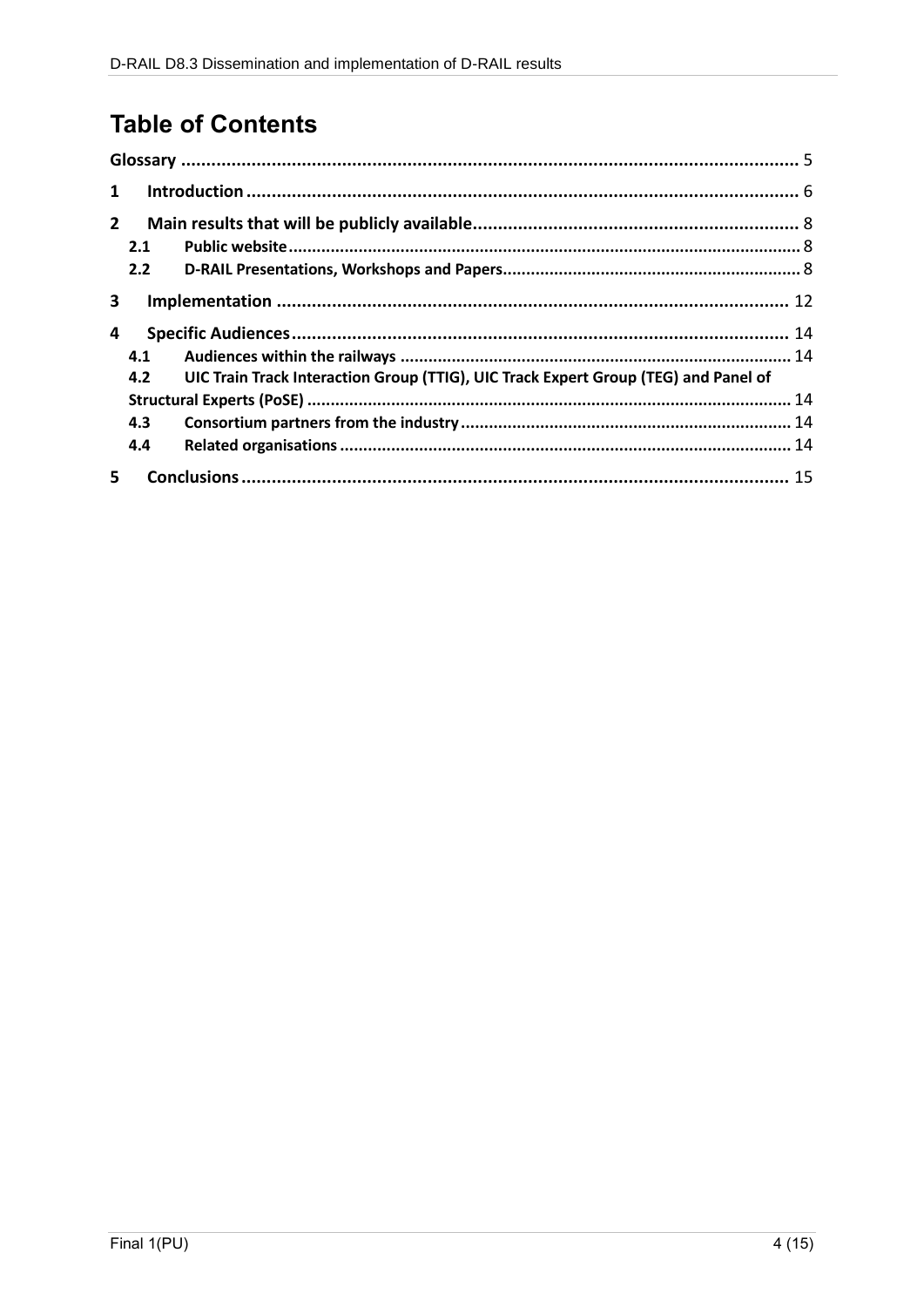## **Table of Contents**

| $\mathbf{1}$ |     |                                                                                     |  |  |
|--------------|-----|-------------------------------------------------------------------------------------|--|--|
| $2^{\circ}$  |     |                                                                                     |  |  |
|              | 2.1 |                                                                                     |  |  |
|              | 2.2 |                                                                                     |  |  |
| 3            |     |                                                                                     |  |  |
| 4            |     |                                                                                     |  |  |
|              | 4.1 |                                                                                     |  |  |
|              | 4.2 | UIC Train Track Interaction Group (TTIG), UIC Track Expert Group (TEG) and Panel of |  |  |
|              |     |                                                                                     |  |  |
|              | 4.3 |                                                                                     |  |  |
|              | 4.4 |                                                                                     |  |  |
| 5.           |     |                                                                                     |  |  |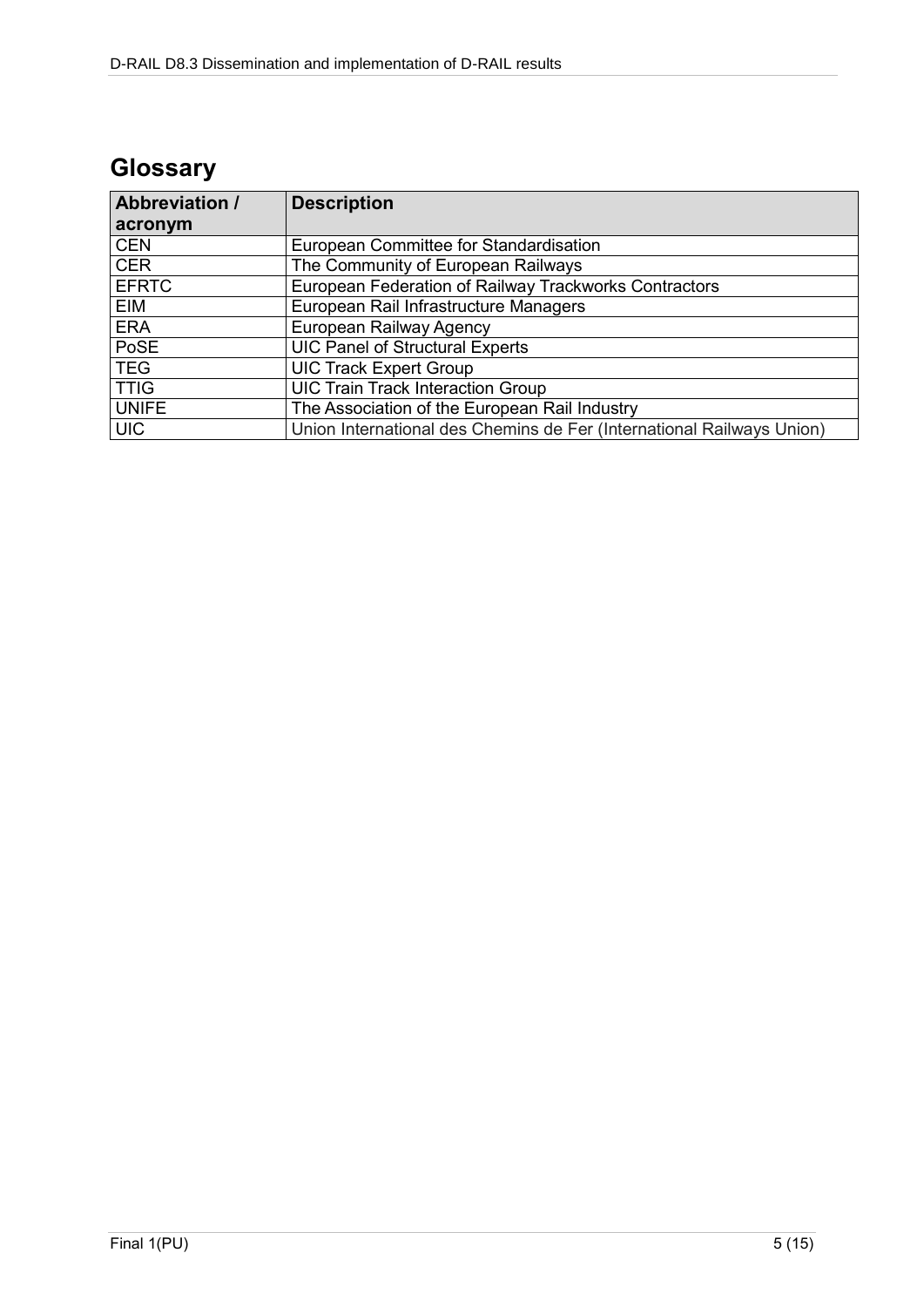## **Glossary**

| <b>Abbreviation /</b> | <b>Description</b>                                                    |  |
|-----------------------|-----------------------------------------------------------------------|--|
| acronym               |                                                                       |  |
| <b>CEN</b>            | European Committee for Standardisation                                |  |
| <b>CER</b>            | The Community of European Railways                                    |  |
| <b>EFRTC</b>          | European Federation of Railway Trackworks Contractors                 |  |
| EIM                   | European Rail Infrastructure Managers                                 |  |
| <b>ERA</b>            | European Railway Agency                                               |  |
| PoSE                  | <b>UIC Panel of Structural Experts</b>                                |  |
| <b>TEG</b>            | <b>UIC Track Expert Group</b>                                         |  |
| <b>TTIG</b>           | <b>UIC Train Track Interaction Group</b>                              |  |
| <b>UNIFE</b>          | The Association of the European Rail Industry                         |  |
| <b>UIC</b>            | Union International des Chemins de Fer (International Railways Union) |  |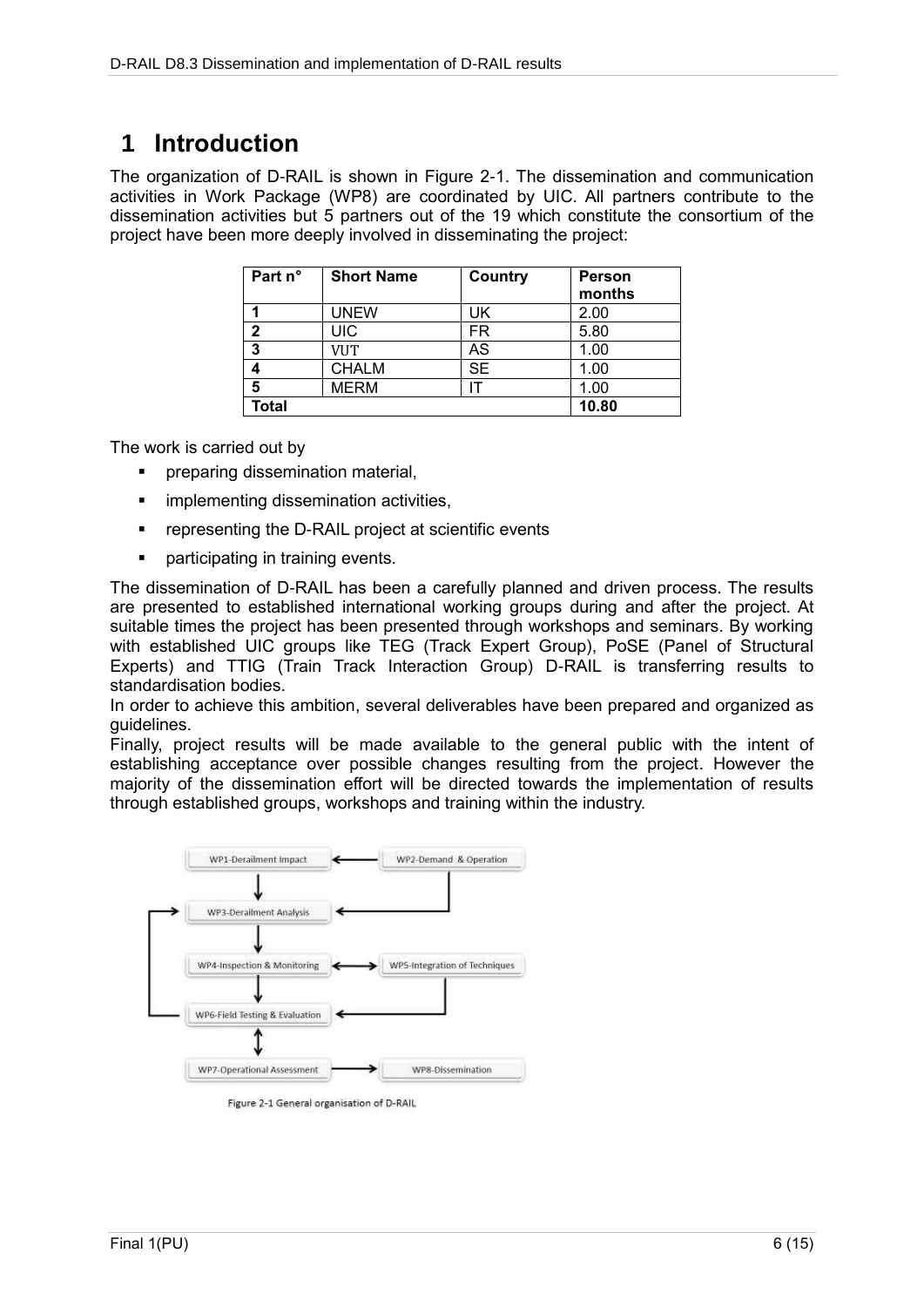### **1 Introduction**

The organization of D-RAIL is shown in Figure 2-1. The dissemination and communication activities in Work Package (WP8) are coordinated by UIC. All partners contribute to the dissemination activities but 5 partners out of the 19 which constitute the consortium of the project have been more deeply involved in disseminating the project:

| Part n° | <b>Short Name</b> | Country   | Person<br>months |
|---------|-------------------|-----------|------------------|
|         | <b>UNEW</b>       | UK        | 2.00             |
| າ       | UIC               | FR        | 5.80             |
| 3       | <b>VUT</b>        | AS        | 1.00             |
|         | <b>CHALM</b>      | <b>SE</b> | 1.00             |
| 5       | <b>MERM</b>       |           | 1.00             |
| Total   |                   |           | 10.80            |

The work is carried out by

- preparing dissemination material,
- **·** implementing dissemination activities,
- **•** representing the D-RAIL project at scientific events
- participating in training events.

The dissemination of D-RAIL has been a carefully planned and driven process. The results are presented to established international working groups during and after the project. At suitable times the project has been presented through workshops and seminars. By working with established UIC groups like TEG (Track Expert Group), PoSE (Panel of Structural Experts) and TTIG (Train Track Interaction Group) D-RAIL is transferring results to standardisation bodies.

In order to achieve this ambition, several deliverables have been prepared and organized as guidelines.

Finally, project results will be made available to the general public with the intent of establishing acceptance over possible changes resulting from the project. However the majority of the dissemination effort will be directed towards the implementation of results through established groups, workshops and training within the industry.



Figure 2-1 General organisation of D-RAIL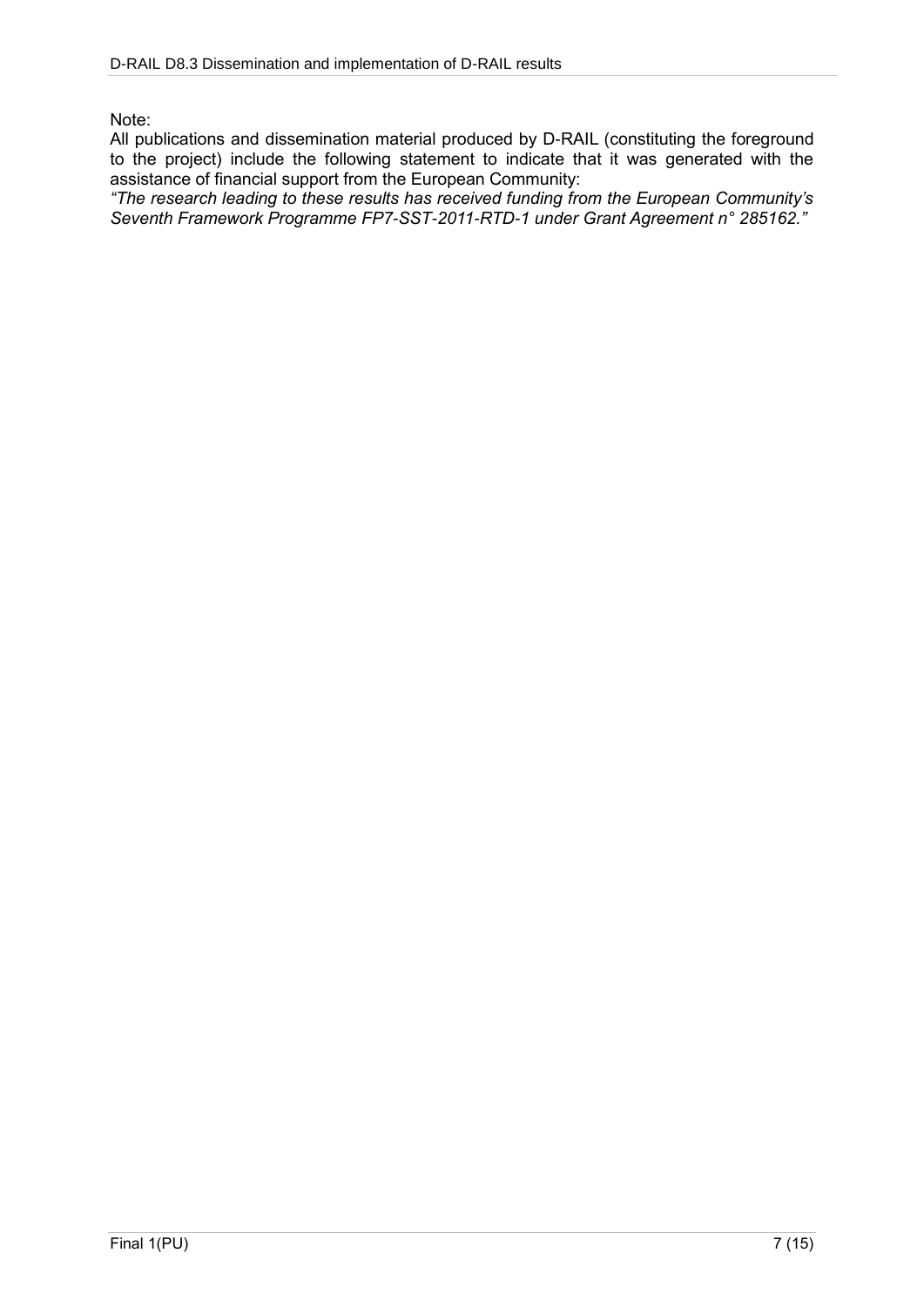Note:

All publications and dissemination material produced by D-RAIL (constituting the foreground to the project) include the following statement to indicate that it was generated with the assistance of financial support from the European Community:

*"The research leading to these results has received funding from the European Community's Seventh Framework Programme FP7-SST-2011-RTD-1 under Grant Agreement n° 285162."*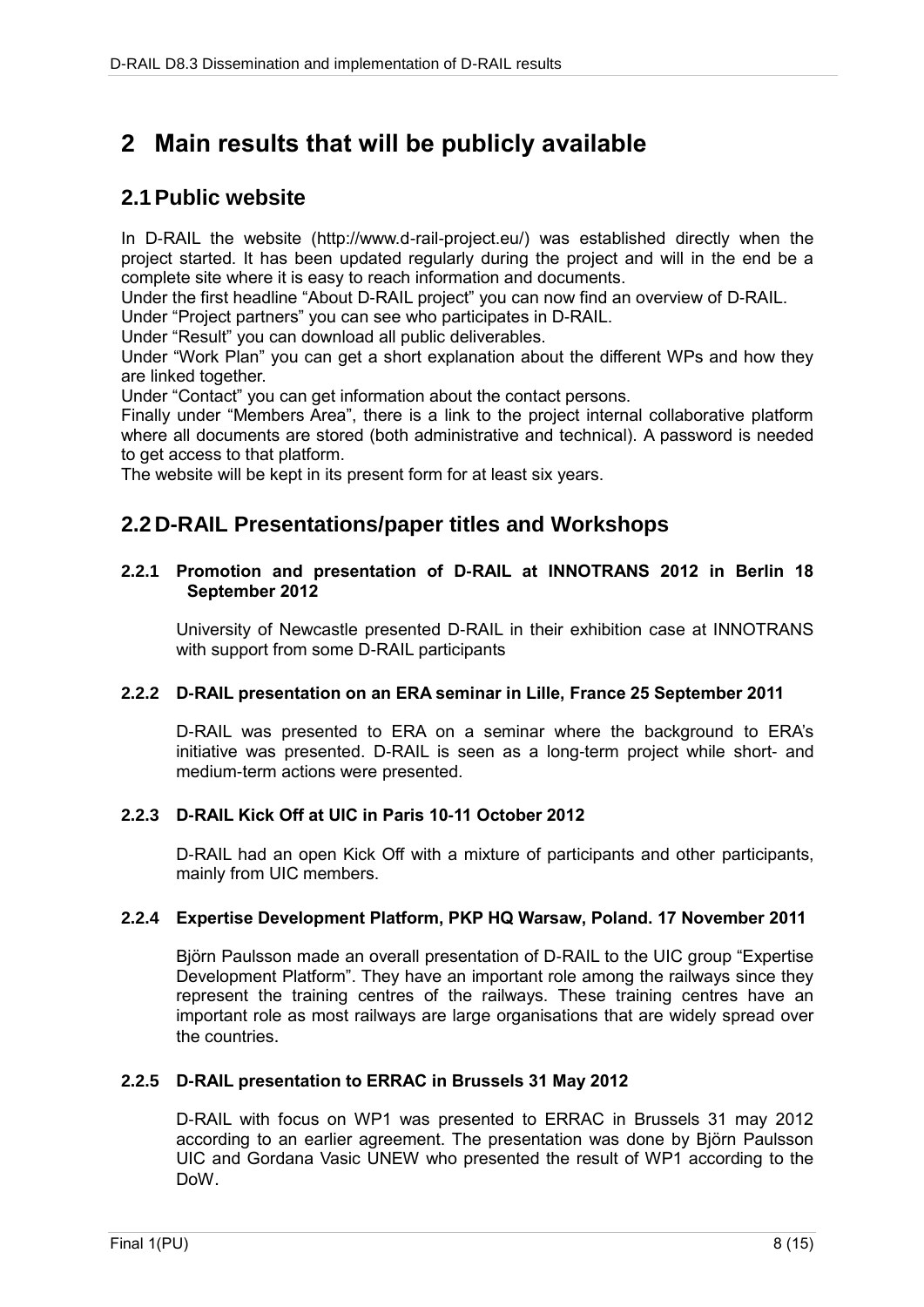### **2 Main results that will be publicly available**

### **2.1Public website**

In D-RAIL the website (http://www.d-rail-project.eu/) was established directly when the project started. It has been updated regularly during the project and will in the end be a complete site where it is easy to reach information and documents.

Under the first headline "About D-RAIL project" you can now find an overview of D-RAIL.

Under "Project partners" you can see who participates in D-RAIL.

Under "Result" you can download all public deliverables.

Under "Work Plan" you can get a short explanation about the different WPs and how they are linked together.

Under "Contact" you can get information about the contact persons.

Finally under "Members Area", there is a link to the project internal collaborative platform where all documents are stored (both administrative and technical). A password is needed to get access to that platform.

The website will be kept in its present form for at least six years.

### **2.2 D-RAIL Presentations/paper titles and Workshops**

#### **2.2.1 Promotion and presentation of D-RAIL at INNOTRANS 2012 in Berlin 18 September 2012**

University of Newcastle presented D-RAIL in their exhibition case at INNOTRANS with support from some D-RAIL participants

#### **2.2.2 D-RAIL presentation on an ERA seminar in Lille, France 25 September 2011**

D-RAIL was presented to ERA on a seminar where the background to ERA's initiative was presented. D-RAIL is seen as a long-term project while short- and medium-term actions were presented.

#### **2.2.3 D-RAIL Kick Off at UIC in Paris 10-11 October 2012**

D-RAIL had an open Kick Off with a mixture of participants and other participants, mainly from UIC members.

#### **2.2.4 Expertise Development Platform, PKP HQ Warsaw, Poland. 17 November 2011**

Björn Paulsson made an overall presentation of D-RAIL to the UIC group "Expertise Development Platform". They have an important role among the railways since they represent the training centres of the railways. These training centres have an important role as most railways are large organisations that are widely spread over the countries.

#### **2.2.5 D-RAIL presentation to ERRAC in Brussels 31 May 2012**

D-RAIL with focus on WP1 was presented to ERRAC in Brussels 31 may 2012 according to an earlier agreement. The presentation was done by Björn Paulsson UIC and Gordana Vasic UNEW who presented the result of WP1 according to the DoW.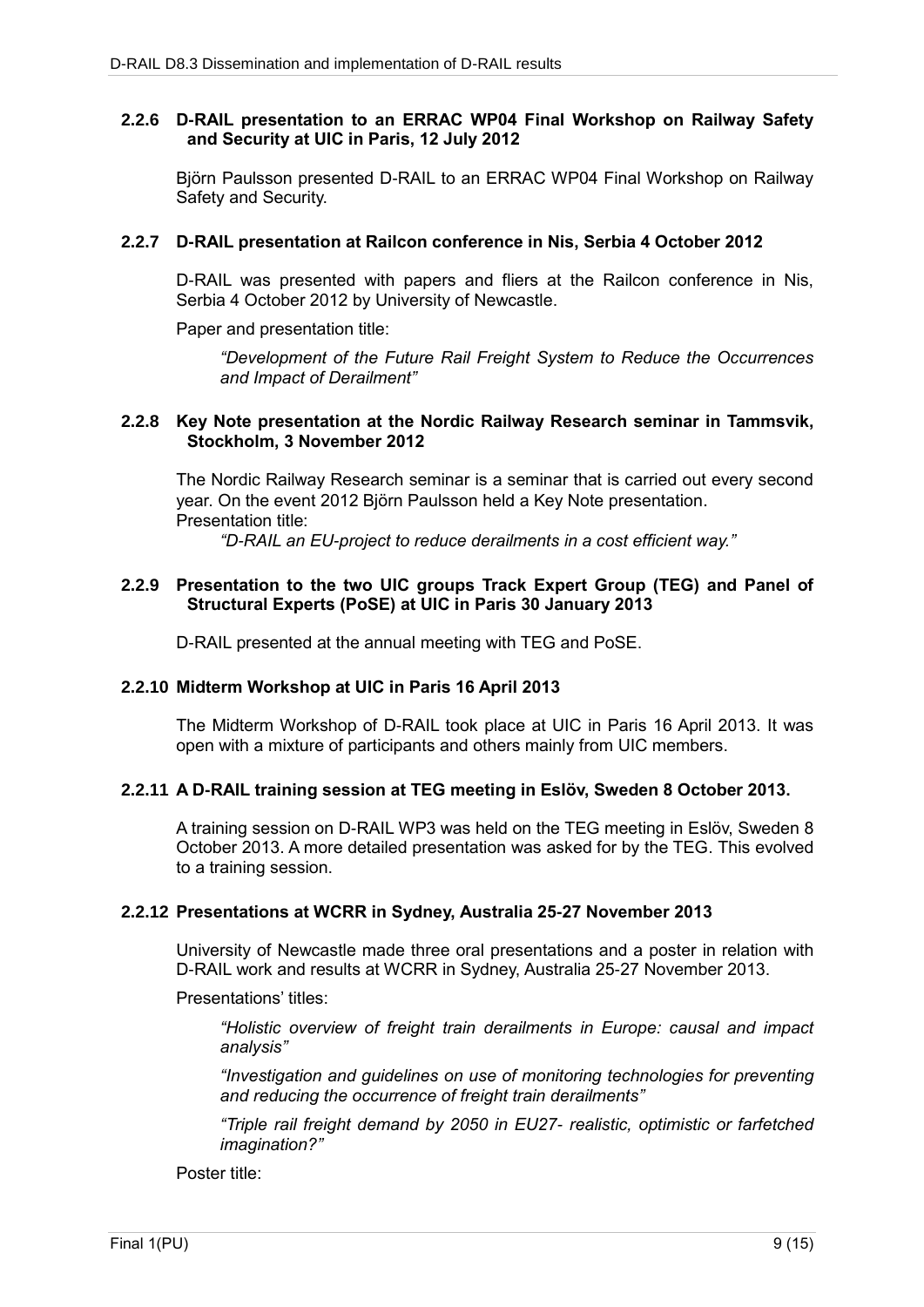#### **2.2.6 D-RAIL presentation to an ERRAC WP04 Final Workshop on Railway Safety and Security at UIC in Paris, 12 July 2012**

Björn Paulsson presented D-RAIL to an ERRAC WP04 Final Workshop on Railway Safety and Security.

#### **2.2.7 D-RAIL presentation at Railcon conference in Nis, Serbia 4 October 2012**

D-RAIL was presented with papers and fliers at the Railcon conference in Nis, Serbia 4 October 2012 by University of Newcastle.

Paper and presentation title:

*"Development of the Future Rail Freight System to Reduce the Occurrences and Impact of Derailment"*

#### **2.2.8 Key Note presentation at the Nordic Railway Research seminar in Tammsvik, Stockholm, 3 November 2012**

The Nordic Railway Research seminar is a seminar that is carried out every second year. On the event 2012 Björn Paulsson held a Key Note presentation. Presentation title:

*"D-RAIL an EU-project to reduce derailments in a cost efficient way."* 

#### **2.2.9 Presentation to the two UIC groups Track Expert Group (TEG) and Panel of Structural Experts (PoSE) at UIC in Paris 30 January 2013**

D-RAIL presented at the annual meeting with TEG and PoSE.

#### **2.2.10 Midterm Workshop at UIC in Paris 16 April 2013**

The Midterm Workshop of D-RAIL took place at UIC in Paris 16 April 2013. It was open with a mixture of participants and others mainly from UIC members.

#### **2.2.11 A D-RAIL training session at TEG meeting in Eslöv, Sweden 8 October 2013.**

A training session on D-RAIL WP3 was held on the TEG meeting in Eslöv, Sweden 8 October 2013. A more detailed presentation was asked for by the TEG. This evolved to a training session.

#### **2.2.12 Presentations at WCRR in Sydney, Australia 25-27 November 2013**

University of Newcastle made three oral presentations and a poster in relation with D-RAIL work and results at WCRR in Sydney, Australia 25-27 November 2013.

Presentations' titles:

*"Holistic overview of freight train derailments in Europe: causal and impact analysis"*

*"Investigation and guidelines on use of monitoring technologies for preventing and reducing the occurrence of freight train derailments"*

*"Triple rail freight demand by 2050 in EU27- realistic, optimistic or farfetched imagination?"*

Poster title: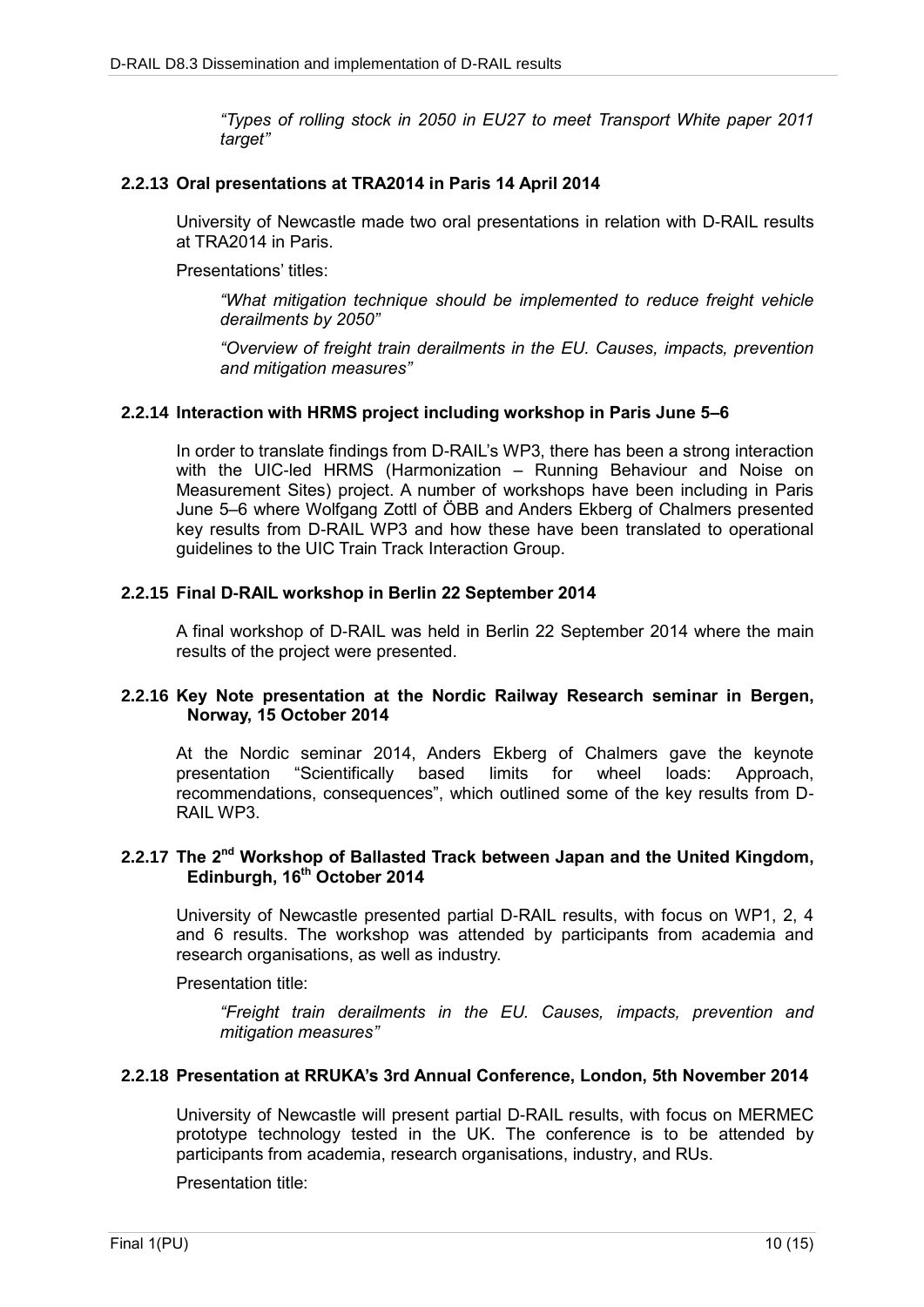*"Types of rolling stock in 2050 in EU27 to meet Transport White paper 2011 target"*

#### **2.2.13 Oral presentations at TRA2014 in Paris 14 April 2014**

University of Newcastle made two oral presentations in relation with D-RAIL results at TRA2014 in Paris.

Presentations' titles:

*"What mitigation technique should be implemented to reduce freight vehicle derailments by 2050"*

*"Overview of freight train derailments in the EU. Causes, impacts, prevention and mitigation measures"*

#### **2.2.14 Interaction with HRMS project including workshop in Paris June 5–6**

In order to translate findings from D-RAIL's WP3, there has been a strong interaction with the UIC-led HRMS (Harmonization – Running Behaviour and Noise on Measurement Sites) project. A number of workshops have been including in Paris June 5–6 where Wolfgang Zottl of ÖBB and Anders Ekberg of Chalmers presented key results from D-RAIL WP3 and how these have been translated to operational guidelines to the UIC Train Track Interaction Group.

#### **2.2.15 Final D-RAIL workshop in Berlin 22 September 2014**

A final workshop of D-RAIL was held in Berlin 22 September 2014 where the main results of the project were presented.

#### **2.2.16 Key Note presentation at the Nordic Railway Research seminar in Bergen, Norway, 15 October 2014**

At the Nordic seminar 2014, Anders Ekberg of Chalmers gave the keynote presentation "Scientifically based limits for wheel loads: Approach, recommendations, consequences", which outlined some of the key results from D-RAIL WP3.

#### **2.2.17 The 2nd Workshop of Ballasted Track between Japan and the United Kingdom, Edinburgh, 16th October 2014**

University of Newcastle presented partial D-RAIL results, with focus on WP1, 2, 4 and 6 results. The workshop was attended by participants from academia and research organisations, as well as industry.

Presentation title:

*"Freight train derailments in the EU. Causes, impacts, prevention and mitigation measures"*

#### **2.2.18 Presentation at RRUKA's 3rd Annual Conference, London, 5th November 2014**

University of Newcastle will present partial D-RAIL results, with focus on MERMEC prototype technology tested in the UK. The conference is to be attended by participants from academia, research organisations, industry, and RUs.

Presentation title: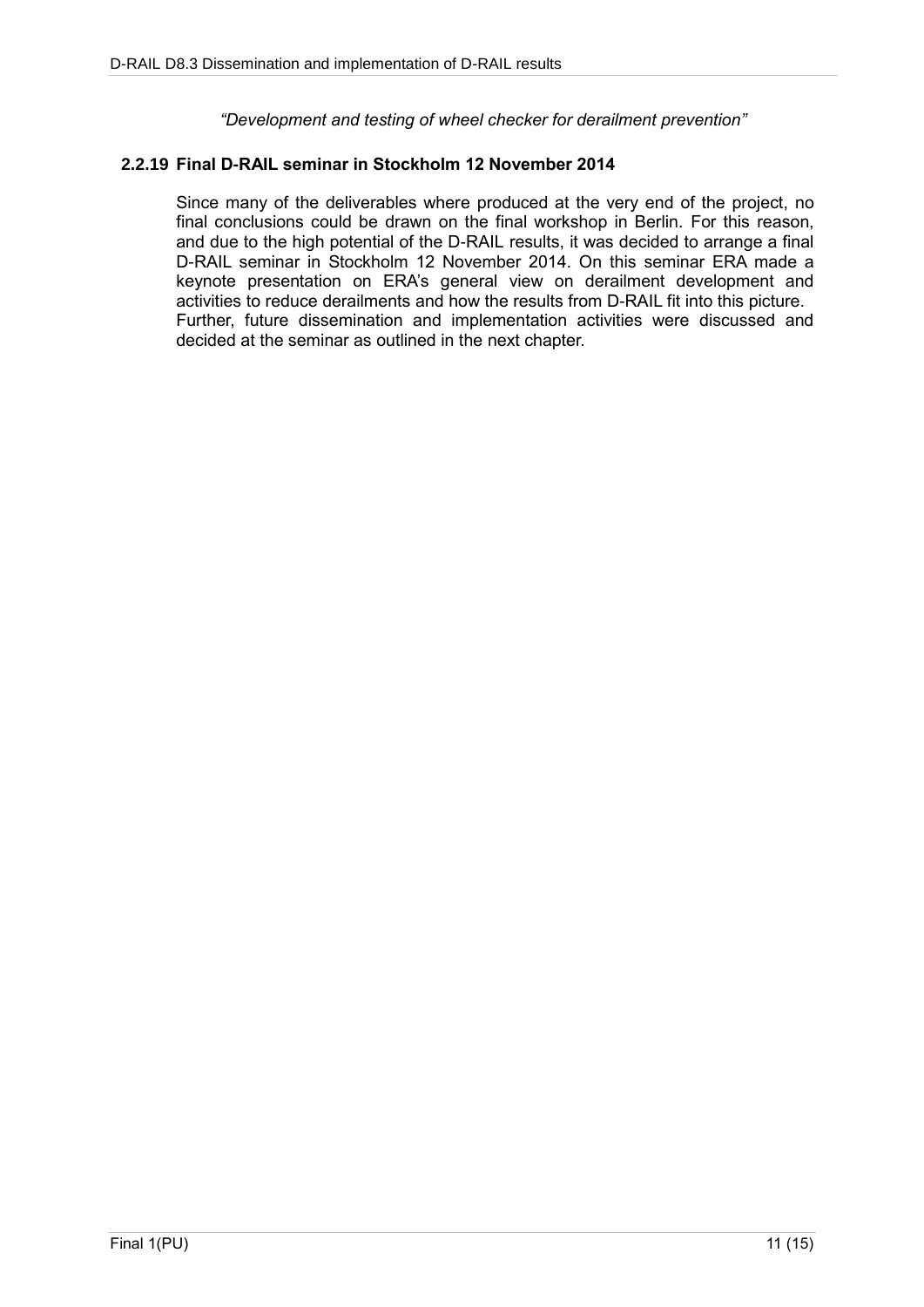*"Development and testing of wheel checker for derailment prevention"*

#### **2.2.19 Final D-RAIL seminar in Stockholm 12 November 2014**

Since many of the deliverables where produced at the very end of the project, no final conclusions could be drawn on the final workshop in Berlin. For this reason, and due to the high potential of the D-RAIL results, it was decided to arrange a final D-RAIL seminar in Stockholm 12 November 2014. On this seminar ERA made a keynote presentation on ERA's general view on derailment development and activities to reduce derailments and how the results from D-RAIL fit into this picture. Further, future dissemination and implementation activities were discussed and decided at the seminar as outlined in the next chapter.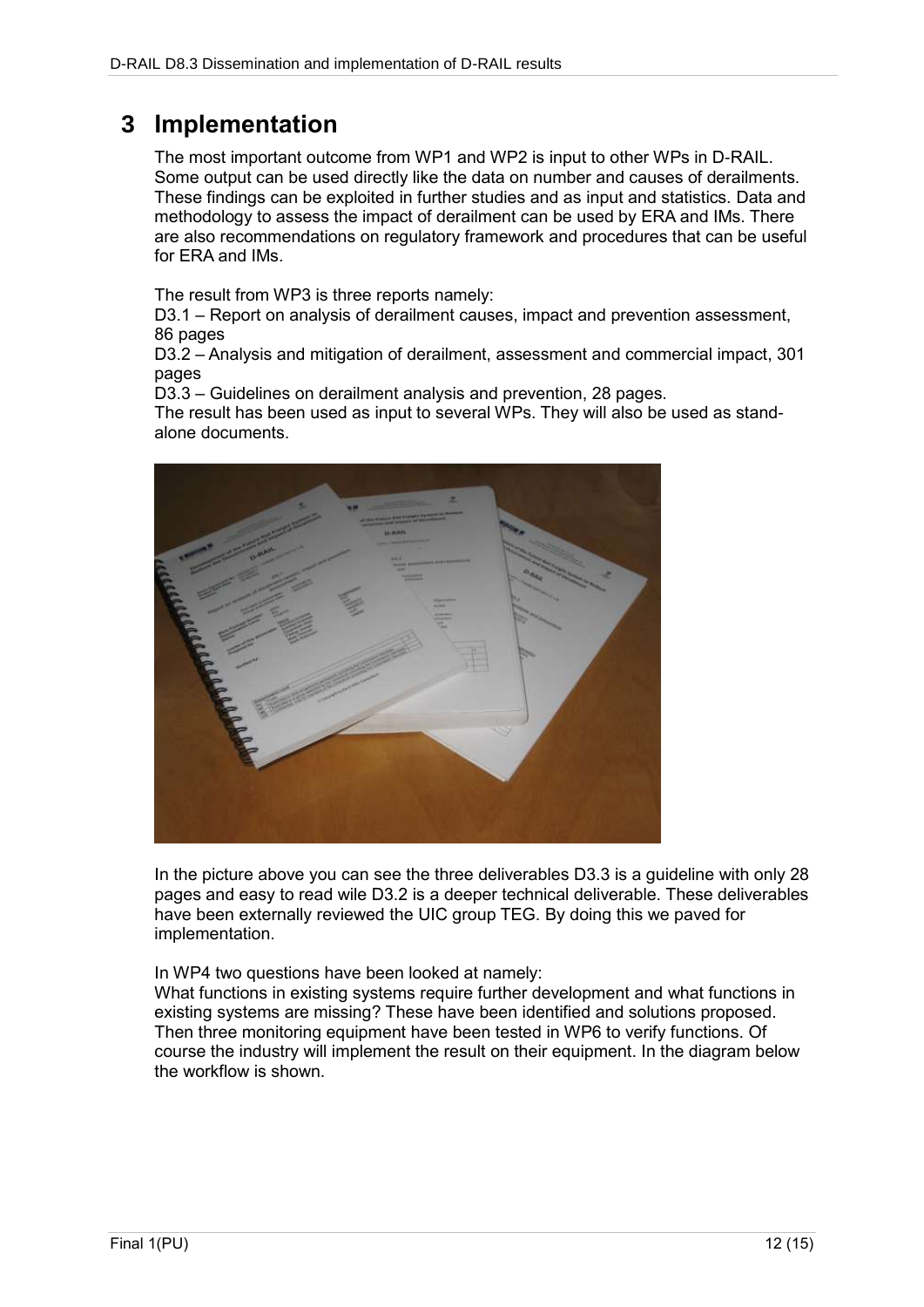### **3 Implementation**

The most important outcome from WP1 and WP2 is input to other WPs in D-RAIL. Some output can be used directly like the data on number and causes of derailments. These findings can be exploited in further studies and as input and statistics. Data and methodology to assess the impact of derailment can be used by ERA and IMs. There are also recommendations on regulatory framework and procedures that can be useful for ERA and IMs.

The result from WP3 is three reports namely:

D3.1 – Report on analysis of derailment causes, impact and prevention assessment, 86 pages

D3.2 – Analysis and mitigation of derailment, assessment and commercial impact, 301 pages

D3.3 – Guidelines on derailment analysis and prevention, 28 pages.

The result has been used as input to several WPs. They will also be used as standalone documents.



In the picture above you can see the three deliverables D3.3 is a guideline with only 28 pages and easy to read wile D3.2 is a deeper technical deliverable. These deliverables have been externally reviewed the UIC group TEG. By doing this we paved for implementation.

In WP4 two questions have been looked at namely:

What functions in existing systems require further development and what functions in existing systems are missing? These have been identified and solutions proposed. Then three monitoring equipment have been tested in WP6 to verify functions. Of course the industry will implement the result on their equipment. In the diagram below the workflow is shown.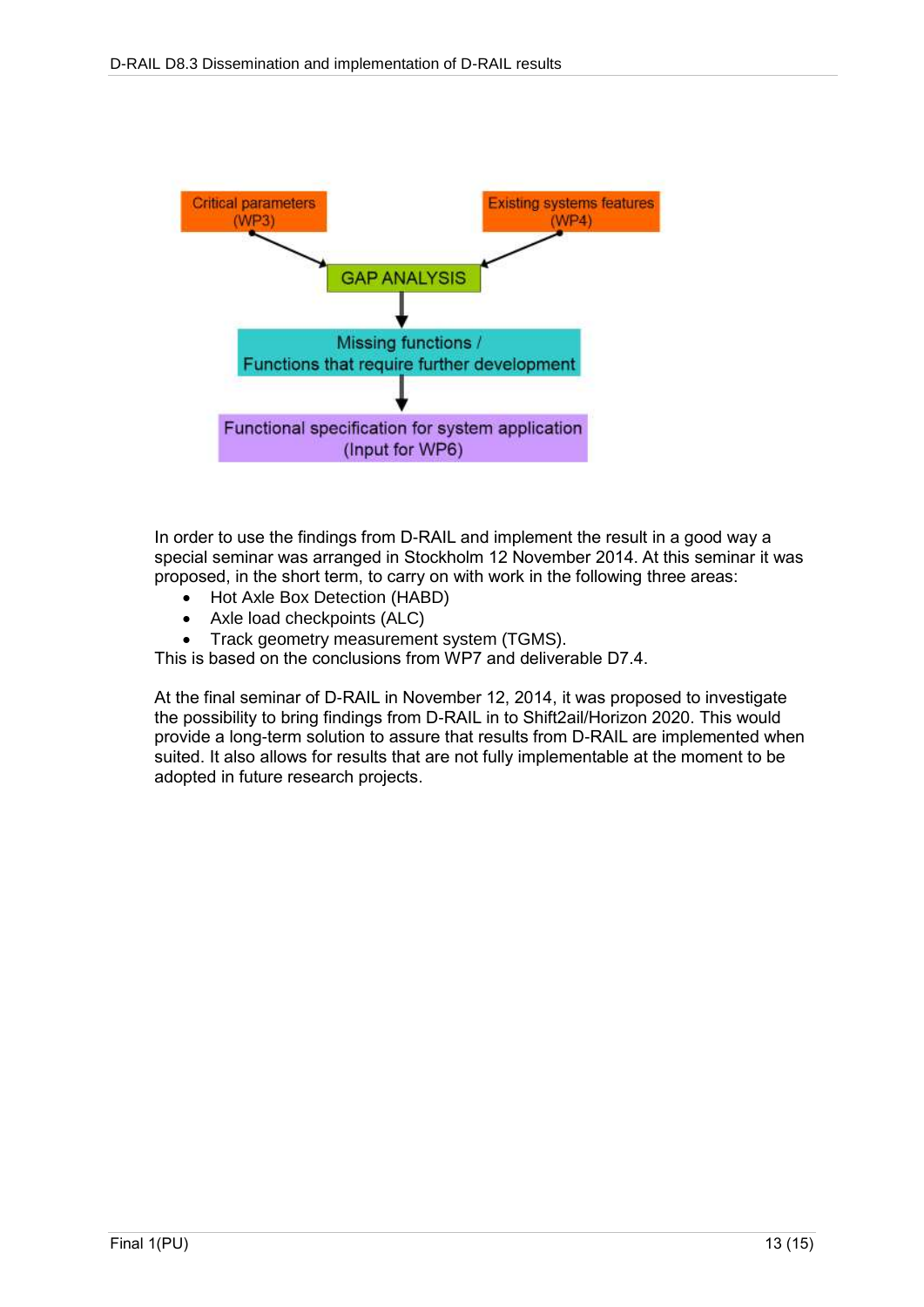

In order to use the findings from D-RAIL and implement the result in a good way a special seminar was arranged in Stockholm 12 November 2014. At this seminar it was proposed, in the short term, to carry on with work in the following three areas:

- Hot Axle Box Detection (HABD)
- Axle load checkpoints (ALC)
- Track geometry measurement system (TGMS).

This is based on the conclusions from WP7 and deliverable D7.4.

At the final seminar of D-RAIL in November 12, 2014, it was proposed to investigate the possibility to bring findings from D-RAIL in to Shift2ail/Horizon 2020. This would provide a long-term solution to assure that results from D-RAIL are implemented when suited. It also allows for results that are not fully implementable at the moment to be adopted in future research projects.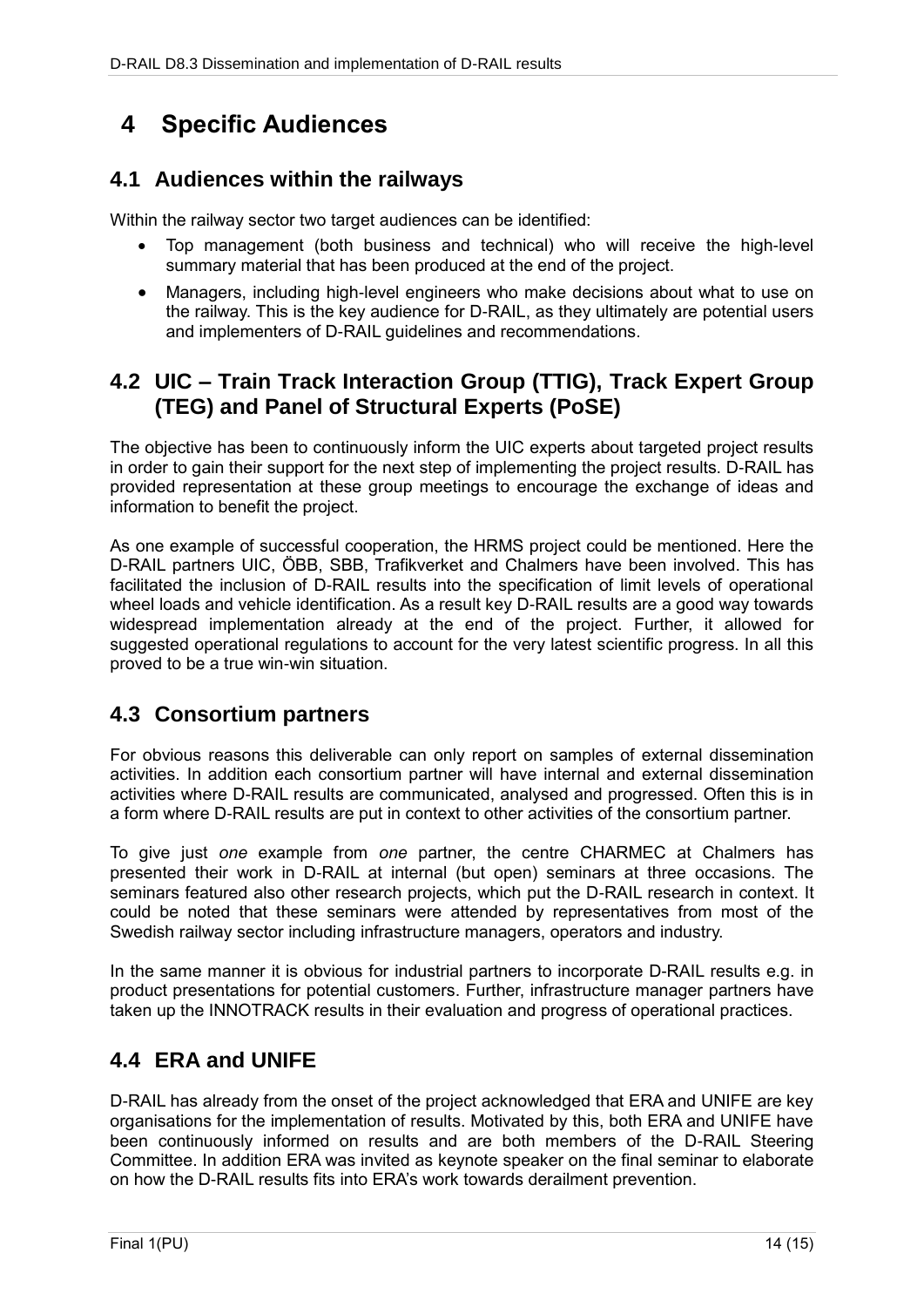## **4 Specific Audiences**

### **4.1 Audiences within the railways**

Within the railway sector two target audiences can be identified:

- Top management (both business and technical) who will receive the high-level summary material that has been produced at the end of the project.
- Managers, including high-level engineers who make decisions about what to use on the railway. This is the key audience for D-RAIL, as they ultimately are potential users and implementers of D-RAIL guidelines and recommendations.

### **4.2 UIC – Train Track Interaction Group (TTIG), Track Expert Group (TEG) and Panel of Structural Experts (PoSE)**

The objective has been to continuously inform the UIC experts about targeted project results in order to gain their support for the next step of implementing the project results. D-RAIL has provided representation at these group meetings to encourage the exchange of ideas and information to benefit the project.

As one example of successful cooperation, the HRMS project could be mentioned. Here the D-RAIL partners UIC, ÖBB, SBB, Trafikverket and Chalmers have been involved. This has facilitated the inclusion of D-RAIL results into the specification of limit levels of operational wheel loads and vehicle identification. As a result key D-RAIL results are a good way towards widespread implementation already at the end of the project. Further, it allowed for suggested operational regulations to account for the very latest scientific progress. In all this proved to be a true win-win situation.

### **4.3 Consortium partners**

For obvious reasons this deliverable can only report on samples of external dissemination activities. In addition each consortium partner will have internal and external dissemination activities where D-RAIL results are communicated, analysed and progressed. Often this is in a form where D-RAIL results are put in context to other activities of the consortium partner.

To give just *one* example from *one* partner, the centre CHARMEC at Chalmers has presented their work in D-RAIL at internal (but open) seminars at three occasions. The seminars featured also other research projects, which put the D-RAIL research in context. It could be noted that these seminars were attended by representatives from most of the Swedish railway sector including infrastructure managers, operators and industry.

In the same manner it is obvious for industrial partners to incorporate D-RAIL results e.g. in product presentations for potential customers. Further, infrastructure manager partners have taken up the INNOTRACK results in their evaluation and progress of operational practices.

### **4.4 ERA and UNIFE**

D-RAIL has already from the onset of the project acknowledged that ERA and UNIFE are key organisations for the implementation of results. Motivated by this, both ERA and UNIFE have been continuously informed on results and are both members of the D-RAIL Steering Committee. In addition ERA was invited as keynote speaker on the final seminar to elaborate on how the D-RAIL results fits into ERA's work towards derailment prevention.